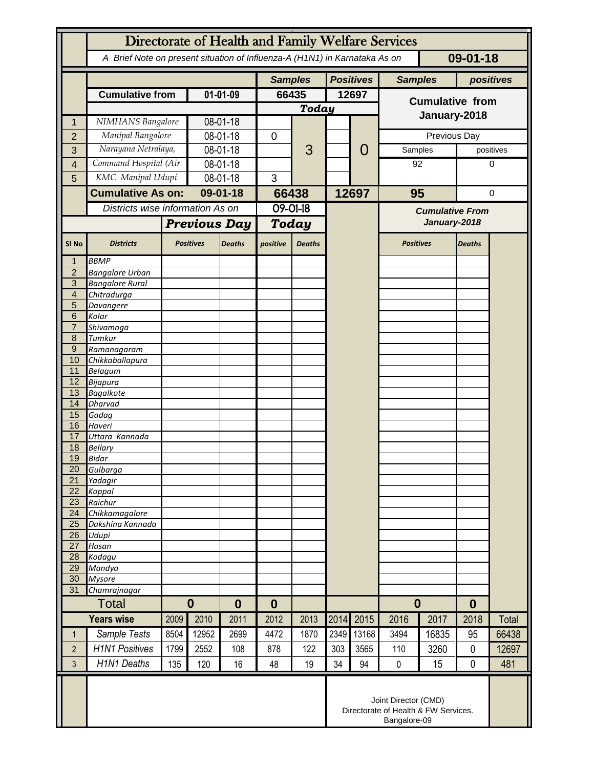|                       | Directorate of Health and Family Welfare Services                                      |              |                     |                |              |                  |                  |                                                                              |                        |       |                  |              |  |
|-----------------------|----------------------------------------------------------------------------------------|--------------|---------------------|----------------|--------------|------------------|------------------|------------------------------------------------------------------------------|------------------------|-------|------------------|--------------|--|
|                       | 09-01-18<br>A Brief Note on present situation of Influenza-A (H1N1) in Karnataka As on |              |                     |                |              |                  |                  |                                                                              |                        |       |                  |              |  |
|                       |                                                                                        |              |                     | <b>Samples</b> |              |                  | <b>Positives</b> | <b>Samples</b>                                                               |                        |       | positives        |              |  |
|                       | <b>Cumulative from</b>                                                                 |              | 01-01-09            |                | 66435        |                  | 12697            |                                                                              | <b>Cumulative from</b> |       |                  |              |  |
|                       |                                                                                        |              |                     |                | <b>Today</b> |                  |                  |                                                                              | January-2018           |       |                  |              |  |
| 1                     | NIMHANS Bangalore                                                                      |              | 08-01-18            |                |              | 3                |                  | 0                                                                            |                        |       |                  |              |  |
| $\overline{2}$        | Manipal Bangalore                                                                      |              | 08-01-18            |                | 0            |                  |                  |                                                                              |                        |       | Previous Day     |              |  |
| 3                     | Narayana Netralaya,                                                                    |              | 08-01-18            |                |              |                  |                  |                                                                              | Samples                |       |                  | positives    |  |
| $\overline{4}$        | Command Hospital (Air                                                                  |              | 08-01-18            |                |              |                  |                  |                                                                              |                        | 92    |                  | 0            |  |
| 5                     | KMC Manipal Udupi                                                                      |              | 08-01-18            |                | 3            |                  |                  |                                                                              |                        |       |                  |              |  |
|                       | <b>Cumulative As on:</b>                                                               |              | 09-01-18            |                | 66438        |                  |                  | 12697                                                                        | 95                     |       | 0                |              |  |
|                       | Districts wise information As on                                                       |              |                     |                | 09-01-18     |                  |                  |                                                                              | <b>Cumulative From</b> |       |                  |              |  |
|                       |                                                                                        |              | <b>Previous Day</b> |                | <b>Today</b> |                  |                  |                                                                              | January-2018           |       |                  |              |  |
| SI <sub>No</sub>      | <b>Districts</b>                                                                       |              | <b>Positives</b>    | <b>Deaths</b>  | positive     | <b>Deaths</b>    |                  |                                                                              | <b>Positives</b>       |       | <b>Deaths</b>    |              |  |
| $\mathbf 1$           | <b>BBMP</b>                                                                            |              |                     |                |              |                  |                  |                                                                              |                        |       |                  |              |  |
| $\overline{2}$<br>3   | <b>Bangalore Urban</b><br><b>Bangalore Rural</b>                                       |              |                     |                |              |                  |                  |                                                                              |                        |       |                  |              |  |
| 4                     | Chitradurga                                                                            |              |                     |                |              |                  |                  |                                                                              |                        |       |                  |              |  |
| 5                     | Davangere                                                                              |              |                     |                |              |                  |                  |                                                                              |                        |       |                  |              |  |
| 6<br>$\overline{7}$   | Kolar<br>Shivamoga                                                                     |              |                     |                |              |                  |                  |                                                                              |                        |       |                  |              |  |
| 8                     | Tumkur                                                                                 |              |                     |                |              |                  |                  |                                                                              |                        |       |                  |              |  |
| $\overline{9}$        | Ramanagaram                                                                            |              |                     |                |              |                  |                  |                                                                              |                        |       |                  |              |  |
| 10                    | Chikkaballapura                                                                        |              |                     |                |              |                  |                  |                                                                              |                        |       |                  |              |  |
| 11<br>12              | <b>Belagum</b><br>Bijapura                                                             |              |                     |                |              |                  |                  |                                                                              |                        |       |                  |              |  |
| 13                    | <b>Bagalkote</b>                                                                       |              |                     |                |              |                  |                  |                                                                              |                        |       |                  |              |  |
| 14                    | <b>Dharvad</b>                                                                         |              |                     |                |              |                  |                  |                                                                              |                        |       |                  |              |  |
| 15                    | Gadag                                                                                  |              |                     |                |              |                  |                  |                                                                              |                        |       |                  |              |  |
| 16<br>17              | Haveri<br>Uttara Kannada                                                               |              |                     |                |              |                  |                  |                                                                              |                        |       |                  |              |  |
| 18                    | <b>Bellary</b>                                                                         |              |                     |                |              |                  |                  |                                                                              |                        |       |                  |              |  |
| 19                    | <b>Bidar</b>                                                                           |              |                     |                |              |                  |                  |                                                                              |                        |       |                  |              |  |
| 20                    | Gulbarga                                                                               |              |                     |                |              |                  |                  |                                                                              |                        |       |                  |              |  |
| 21<br>22              | Yadagir<br>Koppal                                                                      |              |                     |                |              |                  |                  |                                                                              |                        |       |                  |              |  |
| 23                    | Raichur                                                                                |              |                     |                |              |                  |                  |                                                                              |                        |       |                  |              |  |
| 24                    | Chikkamagalore                                                                         |              |                     |                |              |                  |                  |                                                                              |                        |       |                  |              |  |
| 25<br>$\overline{26}$ | Dakshina Kannada                                                                       |              |                     |                |              |                  |                  |                                                                              |                        |       |                  |              |  |
| 27                    | Udupi<br>Hasan                                                                         |              |                     |                |              |                  |                  |                                                                              |                        |       |                  |              |  |
| 28                    | Kodagu                                                                                 |              |                     |                |              |                  |                  |                                                                              |                        |       |                  |              |  |
| 29                    | Mandya                                                                                 |              |                     |                |              |                  |                  |                                                                              |                        |       |                  |              |  |
| 30<br>31              | <b>Mysore</b><br>Chamrajnagar                                                          |              |                     |                |              |                  |                  |                                                                              |                        |       |                  |              |  |
| Total                 |                                                                                        | $\bf{0}$     |                     | $\bf{0}$       |              | $\boldsymbol{0}$ |                  |                                                                              | $\boldsymbol{0}$       |       | $\boldsymbol{0}$ |              |  |
| <b>Years wise</b>     |                                                                                        | 2010<br>2009 |                     | 2011           | 2012<br>2013 |                  | 2014             | 2015                                                                         | 2016                   | 2017  | 2018             | <b>Total</b> |  |
| $\mathbf{1}$          | Sample Tests                                                                           | 8504         | 12952               | 2699           | 4472         | 1870             | 2349             | 13168                                                                        | 3494                   | 16835 | 95               | 66438        |  |
| $\overline{2}$        | <b>H1N1 Positives</b>                                                                  | 1799         | 2552                | 108            | 878          | 122              | 303              | 3565                                                                         | 110                    | 3260  | $\mathbf{0}$     | 12697        |  |
| 3                     | H1N1 Deaths                                                                            | 135          | 120                 | 16             | 48           | 19               | 34               | 94                                                                           | $\mathbf 0$            | 15    | 0                | 481          |  |
|                       |                                                                                        |              |                     |                |              |                  |                  |                                                                              |                        |       |                  |              |  |
|                       |                                                                                        |              |                     |                |              |                  |                  | Joint Director (CMD)<br>Directorate of Health & FW Services.<br>Bangalore-09 |                        |       |                  |              |  |